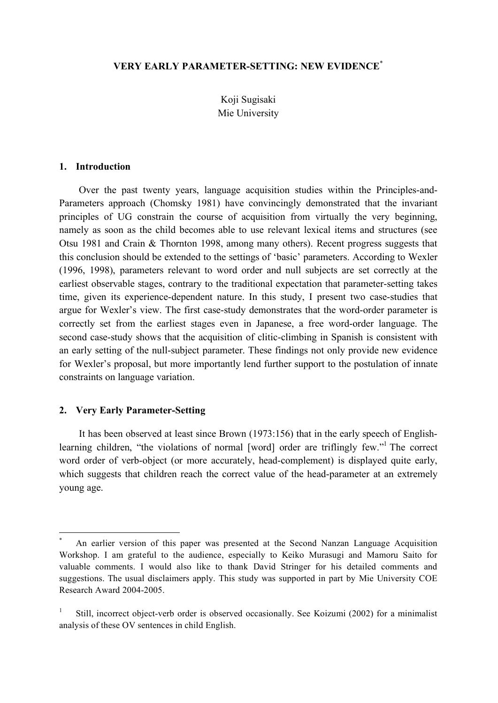# **VERY EARLY PARAMETER-SETTING: NEW EVIDENCE**\*

Koji Sugisaki Mie University

#### **1. Introduction**

Over the past twenty years, language acquisition studies within the Principles-and-Parameters approach (Chomsky 1981) have convincingly demonstrated that the invariant principles of UG constrain the course of acquisition from virtually the very beginning, namely as soon as the child becomes able to use relevant lexical items and structures (see Otsu 1981 and Crain & Thornton 1998, among many others). Recent progress suggests that this conclusion should be extended to the settings of 'basic' parameters. According to Wexler (1996, 1998), parameters relevant to word order and null subjects are set correctly at the earliest observable stages, contrary to the traditional expectation that parameter-setting takes time, given its experience-dependent nature. In this study, I present two case-studies that argue for Wexler's view. The first case-study demonstrates that the word-order parameter is correctly set from the earliest stages even in Japanese, a free word-order language. The second case-study shows that the acquisition of clitic-climbing in Spanish is consistent with an early setting of the null-subject parameter. These findings not only provide new evidence for Wexler's proposal, but more importantly lend further support to the postulation of innate constraints on language variation.

#### **2. Very Early Parameter-Setting**

It has been observed at least since Brown (1973:156) that in the early speech of Englishlearning children, "the violations of normal [word] order are triflingly few."<sup>1</sup> The correct word order of verb-object (or more accurately, head-complement) is displayed quite early, which suggests that children reach the correct value of the head-parameter at an extremely young age.

An earlier version of this paper was presented at the Second Nanzan Language Acquisition Workshop. I am grateful to the audience, especially to Keiko Murasugi and Mamoru Saito for valuable comments. I would also like to thank David Stringer for his detailed comments and suggestions. The usual disclaimers apply. This study was supported in part by Mie University COE Research Award 2004-2005.

<sup>1</sup> Still, incorrect object-verb order is observed occasionally. See Koizumi (2002) for a minimalist analysis of these OV sentences in child English.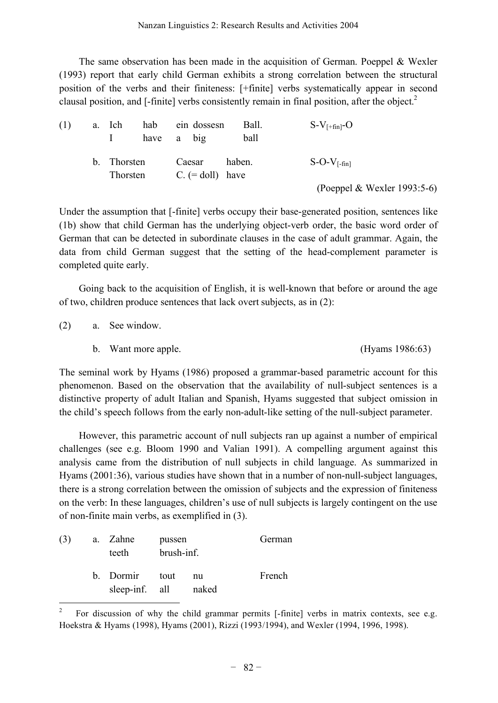The same observation has been made in the acquisition of German. Poeppel & Wexler (1993) report that early child German exhibits a strong correlation between the structural position of the verbs and their finiteness: [+finite] verbs systematically appear in second clausal position, and [-finite] verbs consistently remain in final position, after the object. 2

| (1) | a. Ich                  | have a big |        | hab ein dossesn              |        | Ball.<br>ball | $S-V_{[+fin]}$ -O |                             |
|-----|-------------------------|------------|--------|------------------------------|--------|---------------|-------------------|-----------------------------|
|     | b. Thorsten<br>Thorsten |            | Caesar | $C_{\text{r}}$ (= doll) have | haben. |               | $S-O-V_{f-fin}$   |                             |
|     |                         |            |        |                              |        |               |                   | (Poeppel & Wexler 1993:5-6) |

Under the assumption that [-finite] verbs occupy their base-generated position, sentences like (1b) show that child German has the underlying object-verb order, the basic word order of German that can be detected in subordinate clauses in the case of adult grammar. Again, the data from child German suggest that the setting of the head-complement parameter is completed quite early.

Going back to the acquisition of English, it is well-known that before or around the age of two, children produce sentences that lack overt subjects, as in (2):

(2) a. See window.

b. Want more apple. (Hyams 1986:63)

The seminal work by Hyams (1986) proposed a grammar-based parametric account for this phenomenon. Based on the observation that the availability of null-subject sentences is a distinctive property of adult Italian and Spanish, Hyams suggested that subject omission in the child's speech follows from the early non-adult-like setting of the null-subject parameter.

However, this parametric account of null subjects ran up against a number of empirical challenges (see e.g. Bloom 1990 and Valian 1991). A compelling argument against this analysis came from the distribution of null subjects in child language. As summarized in Hyams (2001:36), various studies have shown that in a number of non-null-subject languages, there is a strong correlation between the omission of subjects and the expression of finiteness on the verb: In these languages, children's use of null subjects is largely contingent on the use of non-finite main verbs, as exemplified in (3).

| (3) | a. Zahne<br>teeth                | pussen<br>brush-inf. | German      |        |
|-----|----------------------------------|----------------------|-------------|--------|
|     | b. Dormir tout<br>sleep-inf. all |                      | nu<br>naked | French |

 <sup>2</sup> For discussion of why the child grammar permits [-finite] verbs in matrix contexts, see e.g. Hoekstra & Hyams (1998), Hyams (2001), Rizzi (1993/1994), and Wexler (1994, 1996, 1998).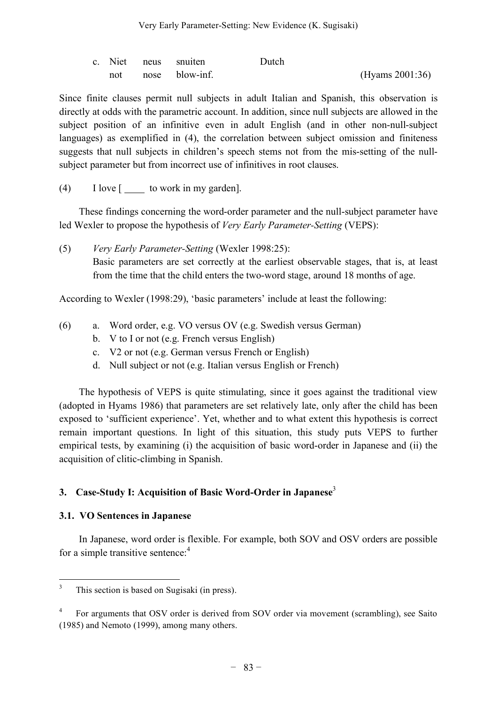|  | c. Niet neus snuiten | Dutch |                    |
|--|----------------------|-------|--------------------|
|  | not nose blow-inf.   |       | (Hyams $2001:36$ ) |

Since finite clauses permit null subjects in adult Italian and Spanish, this observation is directly at odds with the parametric account. In addition, since null subjects are allowed in the subject position of an infinitive even in adult English (and in other non-null-subject languages) as exemplified in (4), the correlation between subject omission and finiteness suggests that null subjects in children's speech stems not from the mis-setting of the nullsubject parameter but from incorrect use of infinitives in root clauses.

(4) I love  $\lceil \cdot \cdot \rceil$  to work in my garden].

These findings concerning the word-order parameter and the null-subject parameter have led Wexler to propose the hypothesis of *Very Early Parameter-Setting* (VEPS):

(5) *Very Early Parameter-Setting* (Wexler 1998:25): Basic parameters are set correctly at the earliest observable stages, that is, at least from the time that the child enters the two-word stage, around 18 months of age.

According to Wexler (1998:29), 'basic parameters' include at least the following:

- (6) a. Word order, e.g. VO versus OV (e.g. Swedish versus German)
	- b. V to I or not (e.g. French versus English)
	- c. V2 or not (e.g. German versus French or English)
	- d. Null subject or not (e.g. Italian versus English or French)

The hypothesis of VEPS is quite stimulating, since it goes against the traditional view (adopted in Hyams 1986) that parameters are set relatively late, only after the child has been exposed to 'sufficient experience'. Yet, whether and to what extent this hypothesis is correct remain important questions. In light of this situation, this study puts VEPS to further empirical tests, by examining (i) the acquisition of basic word-order in Japanese and (ii) the acquisition of clitic-climbing in Spanish.

# **3. Case-Study I: Acquisition of Basic Word-Order in Japanese** 3

## **3.1. VO Sentences in Japanese**

In Japanese, word order is flexible. For example, both SOV and OSV orders are possible for a simple transitive sentence:<sup>4</sup>

<sup>&</sup>lt;sup>3</sup> This section is based on Sugisaki (in press).

<sup>4</sup> For arguments that OSV order is derived from SOV order via movement (scrambling), see Saito (1985) and Nemoto (1999), among many others.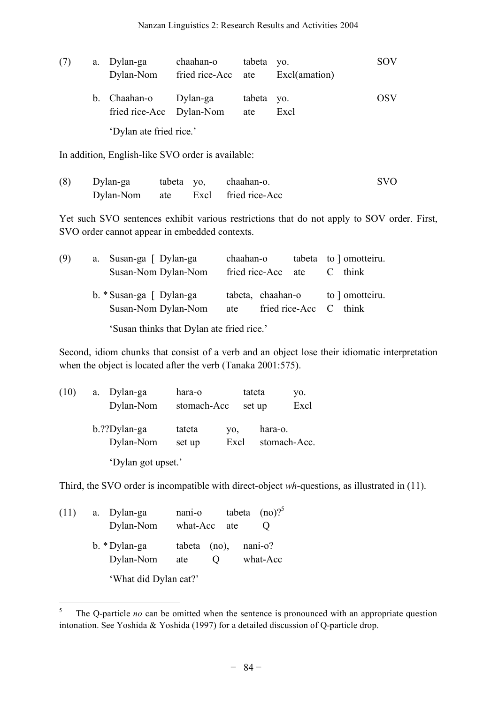| (7) | a. Dylan-ga<br>Dylan-Nom                          | chaahan-o<br>fried rice-Acc ate Excl(amation) | tabeta yo.        |      | <b>SOV</b> |
|-----|---------------------------------------------------|-----------------------------------------------|-------------------|------|------------|
|     | b. Chaahan-o Dylan-ga<br>fried rice-Acc Dylan-Nom |                                               | tabeta yo.<br>ate | Excl | OSV        |
|     | 'Dylan ate fried rice.'                           |                                               |                   |      |            |

In addition, English-like SVO order is available:

| (8) | Dylan-ga  |  | tabeta yo, chaahan-o.   |  |
|-----|-----------|--|-------------------------|--|
|     | Dylan-Nom |  | ate Excl fried rice-Acc |  |

Yet such SVO sentences exhibit various restrictions that do not apply to SOV order. First, SVO order cannot appear in embedded contexts.

| (9) | a. Susan-ga [ Dylan-ga<br>Susan-Nom Dylan-Nom   | chaahan-o<br>fried rice-Acc ate | tabeta to motteiru.<br>$C$ think          |
|-----|-------------------------------------------------|---------------------------------|-------------------------------------------|
|     | b. * Susan-ga [ Dylan-ga<br>Susan-Nom Dylan-Nom | tabeta, chaahan-o<br>ate        | to ] omotteiru.<br>fried rice-Acc C think |

'Susan thinks that Dylan ate fried rice.'

Second, idiom chunks that consist of a verb and an object lose their idiomatic interpretation when the object is located after the verb (Tanaka 2001:575).

| (10) | a.        | Dylan-ga           | hara-o      |      | tateta       | VO.  |
|------|-----------|--------------------|-------------|------|--------------|------|
|      |           | Dylan-Nom          | stomach-Acc |      | set up       | Excl |
|      |           | b.??Dylan-ga       | tateta      | VO,  | hara-o.      |      |
|      | Dylan-Nom |                    | set up      | Excl | stomach-Acc. |      |
|      |           | 'Dylan got upset.' |             |      |              |      |

Third, the SVO order is incompatible with direct-object *wh*-questions, as illustrated in (11).

| (11) | a. Dylan-ga           | nani-o         |                   | tabeta $(no)$ ? <sup>5</sup> |
|------|-----------------------|----------------|-------------------|------------------------------|
|      | Dylan-Nom             | what-Acc ate   |                   |                              |
|      | b. * Dylan-ga         | $tabeta$ (no), |                   | nani-o?                      |
|      | Dylan-Nom             | ate            | $\mathbf{\Omega}$ | what-Acc                     |
|      | 'What did Dylan eat?' |                |                   |                              |

<sup>&</sup>lt;sup>5</sup> The Q-particle *no* can be omitted when the sentence is pronounced with an appropriate question intonation. See Yoshida & Yoshida (1997) for a detailed discussion of Q-particle drop.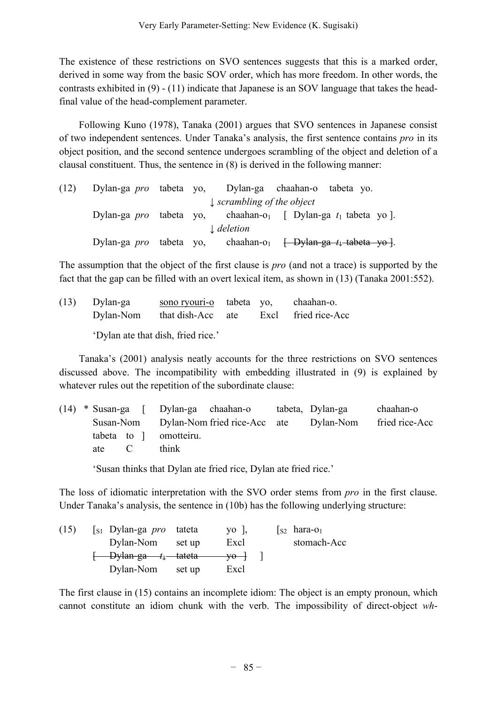The existence of these restrictions on SVO sentences suggests that this is a marked order, derived in some way from the basic SOV order, which has more freedom. In other words, the contrasts exhibited in (9) - (11) indicate that Japanese is an SOV language that takes the headfinal value of the head-complement parameter.

Following Kuno (1978), Tanaka (2001) argues that SVO sentences in Japanese consist of two independent sentences. Under Tanaka's analysis, the first sentence contains *pro* in its object position, and the second sentence undergoes scrambling of the object and deletion of a clausal constituent. Thus, the sentence in (8) is derived in the following manner:

| (12) | Dylan-ga <i>pro</i> tabeta yo, Dylan-ga chaahan-o tabeta yo. |  |                                       |                                                                                    |  |
|------|--------------------------------------------------------------|--|---------------------------------------|------------------------------------------------------------------------------------|--|
|      |                                                              |  | $\downarrow$ scrambling of the object |                                                                                    |  |
|      |                                                              |  |                                       | Dylan-ga <i>pro</i> tabeta yo, chaahan-o <sub>l</sub> [ Dylan-ga $t_1$ tabeta yo]. |  |
|      |                                                              |  | $\downarrow$ deletion                 |                                                                                    |  |
|      | Dylan-ga <i>pro</i> tabeta yo,                               |  |                                       | chaahan-o <sub>1</sub> <del>[Dylan-ga <math>t_1</math>-tabeta yo]</del> .          |  |

The assumption that the object of the first clause is *pro* (and not a trace) is supported by the fact that the gap can be filled with an overt lexical item, as shown in (13) (Tanaka 2001:552).

(13) Dylan-ga sono ryouri-o tabeta yo, chaahan-o. Dylan-Nom that dish-Acc ate Excl fried rice-Acc

'Dylan ate that dish, fried rice.'

Tanaka's (2001) analysis neatly accounts for the three restrictions on SVO sentences discussed above. The incompatibility with embedding illustrated in (9) is explained by whatever rules out the repetition of the subordinate clause:

(14) \* Susan-ga [ Dylan-ga chaahan-o tabeta, Dylan-ga chaahan-o Susan-Nom Dylan-Nom fried rice-Acc ate Dylan-Nom fried rice-Acc tabeta to ] omotteiru. ate C think

'Susan thinks that Dylan ate fried rice, Dylan ate fried rice.'

The loss of idiomatic interpretation with the SVO order stems from *pro* in the first clause. Under Tanaka's analysis, the sentence in (10b) has the following underlying structure:

| (15) | $\begin{bmatrix} s_1 & Dylan-ga \ pro \end{bmatrix}$ tateta |        | $\gamma$ o,                    | $\begin{bmatrix} s_2 \end{bmatrix}$ hara-o <sub>1</sub> |
|------|-------------------------------------------------------------|--------|--------------------------------|---------------------------------------------------------|
|      | Dylan-Nom                                                   | set up | Excl                           | stomach-Acc                                             |
|      | $\leftarrow$ Dylan-ga $t_1$ tateta                          |        | $\rightarrow$ yo $\rightarrow$ |                                                         |
|      | Dylan-Nom                                                   | set up | Excl                           |                                                         |

The first clause in (15) contains an incomplete idiom: The object is an empty pronoun, which cannot constitute an idiom chunk with the verb. The impossibility of direct-object *wh*-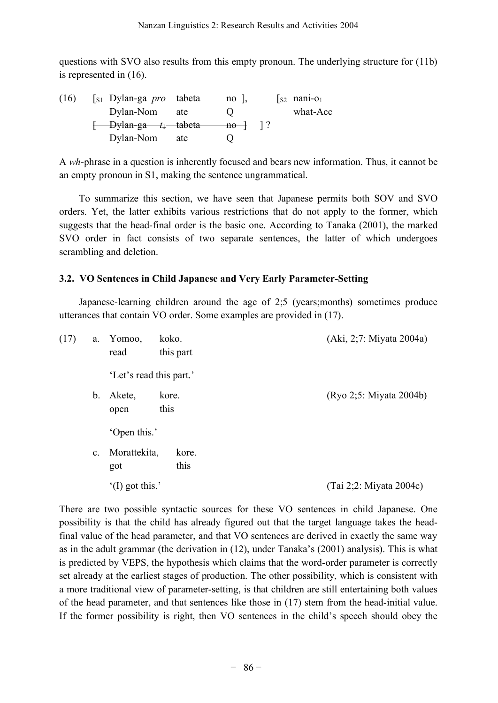questions with SVO also results from this empty pronoun. The underlying structure for (11b) is represented in (16).

| (16) | $\begin{bmatrix} s_1 & Dylan-ga \quad pro \quad \text{tabeta} \end{bmatrix}$ |     | $no$ ,       |               | $\sqrt{2}$ nani-o <sub>1</sub> |
|------|------------------------------------------------------------------------------|-----|--------------|---------------|--------------------------------|
|      | Dylan-Nom                                                                    | ate |              |               | what-Acc                       |
|      | <del>- Dylan-ga t<sub>i</sub> tabeta</del>                                   |     | $-$ no $-$ l | $\frac{1}{2}$ |                                |
|      | Dylan-Nom                                                                    | ate |              |               |                                |

A *wh*-phrase in a question is inherently focused and bears new information. Thus, it cannot be an empty pronoun in S1, making the sentence ungrammatical.

To summarize this section, we have seen that Japanese permits both SOV and SVO orders. Yet, the latter exhibits various restrictions that do not apply to the former, which suggests that the head-final order is the basic one. According to Tanaka (2001), the marked SVO order in fact consists of two separate sentences, the latter of which undergoes scrambling and deletion.

## **3.2. VO Sentences in Child Japanese and Very Early Parameter-Setting**

Japanese-learning children around the age of 2;5 (years;months) sometimes produce utterances that contain VO order. Some examples are provided in (17).

| (17) | a.             | Yomoo,<br>read            | koko.<br>this part | (Aki, 2;7: Miyata 2004a) |
|------|----------------|---------------------------|--------------------|--------------------------|
|      |                | 'Let's read this part.'   |                    |                          |
|      | b.             | Akete,<br>open            | kore.<br>this      | (Ryo 2:5: Miyata 2004b)  |
|      |                | 'Open this.'              |                    |                          |
|      | $\mathbf{c}$ . | Morattekita,<br>got       | kore.<br>this      |                          |
|      |                | $^{\circ}$ (I) got this.' |                    | (Tai 2;2: Miyata 2004c)  |

There are two possible syntactic sources for these VO sentences in child Japanese. One possibility is that the child has already figured out that the target language takes the headfinal value of the head parameter, and that VO sentences are derived in exactly the same way as in the adult grammar (the derivation in (12), under Tanaka's (2001) analysis). This is what is predicted by VEPS, the hypothesis which claims that the word-order parameter is correctly set already at the earliest stages of production. The other possibility, which is consistent with a more traditional view of parameter-setting, is that children are still entertaining both values of the head parameter, and that sentences like those in (17) stem from the head-initial value. If the former possibility is right, then VO sentences in the child's speech should obey the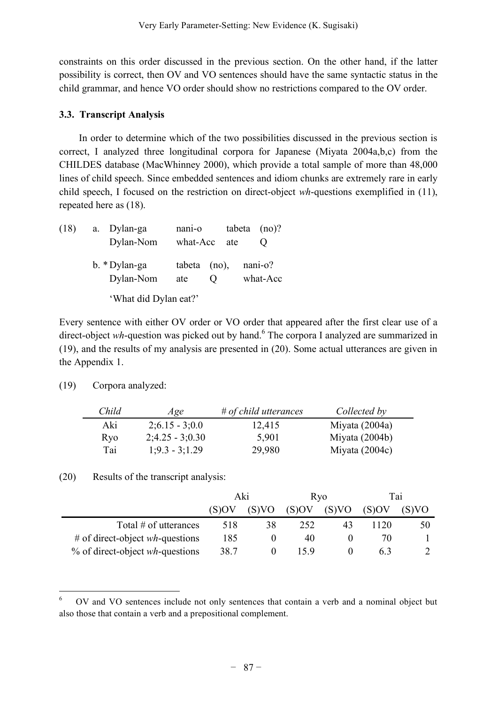constraints on this order discussed in the previous section. On the other hand, if the latter possibility is correct, then OV and VO sentences should have the same syntactic status in the child grammar, and hence VO order should show no restrictions compared to the OV order.

# **3.3. Transcript Analysis**

In order to determine which of the two possibilities discussed in the previous section is correct, I analyzed three longitudinal corpora for Japanese (Miyata 2004a,b,c) from the CHILDES database (MacWhinney 2000), which provide a total sample of more than 48,000 lines of child speech. Since embedded sentences and idiom chunks are extremely rare in early child speech, I focused on the restriction on direct-object *wh*-questions exemplified in (11), repeated here as (18).

| (18) | Dylan-ga<br>a.<br>Dylan-Nom | nani-o<br>what-Acc ate | tabeta $(no)$ ?     |
|------|-----------------------------|------------------------|---------------------|
|      | b. * Dylan-ga<br>Dylan-Nom  | $tabeta$ (no),<br>ate  | nani-o?<br>what-Acc |
|      | 'What did Dylan eat?'       |                        |                     |

Every sentence with either OV order or VO order that appeared after the first clear use of a direct-object *wh*-question was picked out by hand.<sup>6</sup> The corpora I analyzed are summarized in (19), and the results of my analysis are presented in (20). Some actual utterances are given in the Appendix 1.

(19) Corpora analyzed:

| Child      | Age               | $#$ of child utterances | Collected by     |
|------------|-------------------|-------------------------|------------------|
| Aki        | $2:6.15 - 3:0.0$  | 12,415                  | Miyata $(2004a)$ |
| <b>Ryo</b> | $2;4.25 - 3;0.30$ | 5,901                   | Miyata $(2004b)$ |
| Tai        | $1:9.3 - 3:1.29$  | 29,980                  | Miyata $(2004c)$ |

(20) Results of the transcript analysis:

|                                           | Aki   |    | <b>R</b> <sub>v</sub> o |       | Tai   |       |
|-------------------------------------------|-------|----|-------------------------|-------|-------|-------|
|                                           | (S)OV |    | (S)OV                   | (S)VO | (S)OV | (S)VO |
| Total # of utterances                     | 518   | 38 | 252                     | 43    | 1120  | 50    |
| # of direct-object $wh$ -questions        | 185   |    | 40                      |       |       |       |
| $%$ of direct-object <i>wh</i> -questions | 38.7  |    |                         |       |       |       |

 <sup>6</sup> OV and VO sentences include not only sentences that contain a verb and <sup>a</sup> nominal object but also those that contain a verb and a prepositional complement.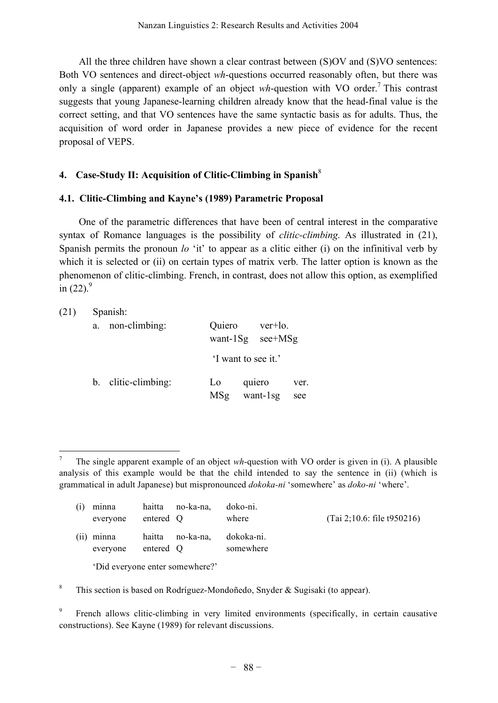All the three children have shown a clear contrast between (S)OV and (S)VO sentences: Both VO sentences and direct-object *wh*-questions occurred reasonably often, but there was only a single (apparent) example of an object *wh*-question with VO order. <sup>7</sup> This contrast suggests that young Japanese-learning children already know that the head-final value is the correct setting, and that VO sentences have the same syntactic basis as for adults. Thus, the acquisition of word order in Japanese provides a new piece of evidence for the recent proposal of VEPS.

## **4. Case-Study II: Acquisition of Clitic-Climbing in Spanish**<sup>8</sup>

## **4.1. Clitic-Climbing and Kayne's (1989) Parametric Proposal**

One of the parametric differences that have been of central interest in the comparative syntax of Romance languages is the possibility of *clitic-climbing*. As illustrated in (21), Spanish permits the pronoun *lo* 'it' to appear as a clitic either (i) on the infinitival verb by which it is selected or (ii) on certain types of matrix verb. The latter option is known as the phenomenon of clitic-climbing. French, in contrast, does not allow this option, as exemplified in  $(22).<sup>9</sup>$ 

| (21) |    | Spanish:            |                        |                        |                      |  |  |  |  |  |
|------|----|---------------------|------------------------|------------------------|----------------------|--|--|--|--|--|
|      | a. | non-climbing:       | Quiero<br>want- $1$ Sg |                        | ver+lo.<br>$see+MSg$ |  |  |  |  |  |
|      |    |                     |                        | 'I want to see it.'    |                      |  |  |  |  |  |
|      |    | b. clitic-climbing: | L <sub>0</sub><br>MSg  | quiero<br>want- $1$ sg | ver.<br>see          |  |  |  |  |  |

 <sup>7</sup> The single apparent example of an object *wh*-question with VO order is given in (i). <sup>A</sup> plausible analysis of this example would be that the child intended to say the sentence in (ii) (which is grammatical in adult Japanese) but mispronounced *dokoka-ni* 'somewhere' as *doko-ni* 'where'.

| (i) | minna<br>everyone      | entered Q | haitta no-ka-na, | doko-ni.<br>where       | (Tai 2; 10.6: file t950216) |
|-----|------------------------|-----------|------------------|-------------------------|-----------------------------|
|     | (ii) minna<br>everyone | entered Q | haitta no-ka-na, | dokoka-ni.<br>somewhere |                             |
|     |                        |           |                  |                         |                             |

'Did everyone enter somewhere?'

<sup>8</sup> This section is based on Rodríguez-Mondoñedo, Snyder & Sugisaki (to appear).

<sup>9</sup> French allows clitic-climbing in very limited environments (specifically, in certain causative constructions). See Kayne (1989) for relevant discussions.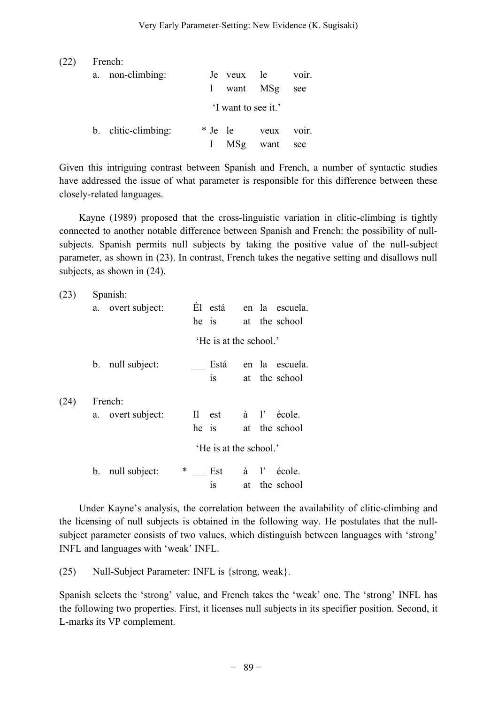| (22) | French:             |  |                     |      |       |  |  |  |  |
|------|---------------------|--|---------------------|------|-------|--|--|--|--|
|      | a. non-climbing:    |  | Je veux le          |      | voir. |  |  |  |  |
|      |                     |  | I want MSg          |      | see   |  |  |  |  |
|      |                     |  | 'I want to see it.' |      |       |  |  |  |  |
|      | b. clitic-climbing: |  | * Je le             | veux | voir. |  |  |  |  |
|      |                     |  | MSg                 | want | see   |  |  |  |  |

Given this intriguing contrast between Spanish and French, a number of syntactic studies have addressed the issue of what parameter is responsible for this difference between these closely-related languages.

Kayne (1989) proposed that the cross-linguistic variation in clitic-climbing is tightly connected to another notable difference between Spanish and French: the possibility of nullsubjects. Spanish permits null subjects by taking the positive value of the null-subject parameter, as shown in (23). In contrast, French takes the negative setting and disallows null subjects, as shown in (24).

| (23) |         | Spanish:<br>a. overt subject: | he is           | Él está                |                | en la escuela.<br>at the school |
|------|---------|-------------------------------|-----------------|------------------------|----------------|---------------------------------|
|      |         |                               |                 | 'He is at the school.' |                |                                 |
|      | $b_{-}$ | null subject:                 |                 | Está<br>1S             |                | en la escuela.<br>at the school |
| (24) |         | French:<br>a. overt subject:  | $\rm{II}$<br>he | est<br>$\overline{1}S$ | $\lambda$ $l'$ | école.<br>at the school         |
|      |         |                               |                 | 'He is at the school.' |                |                                 |
|      | b.      | *<br>null subject:            |                 | Est<br>1S              | à l'<br>at     | école.<br>the school            |

Under Kayne's analysis, the correlation between the availability of clitic-climbing and the licensing of null subjects is obtained in the following way. He postulates that the nullsubject parameter consists of two values, which distinguish between languages with 'strong' INFL and languages with 'weak' INFL.

(25) Null-Subject Parameter: INFL is {strong, weak}.

Spanish selects the 'strong' value, and French takes the 'weak' one. The 'strong' INFL has the following two properties. First, it licenses null subjects in its specifier position. Second, it L-marks its VP complement.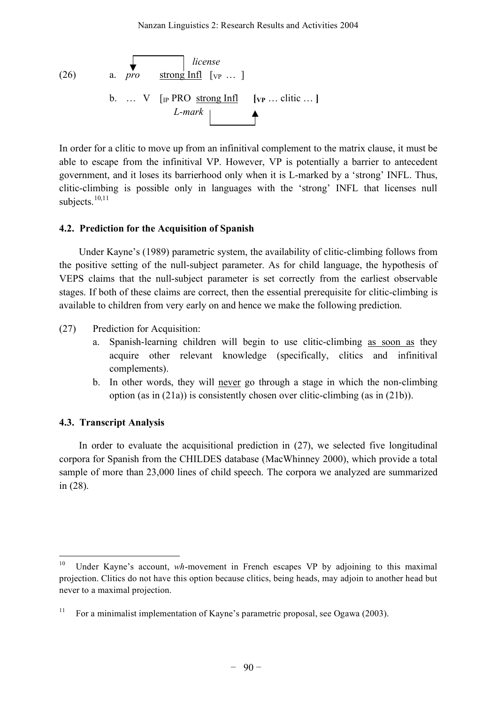*license* (26) a. *pro* strong Infl [VP … ] b. … V [IP PRO strong Infl **[VP** … clitic … **]** *L-mark*

In order for a clitic to move up from an infinitival complement to the matrix clause, it must be able to escape from the infinitival VP. However, VP is potentially a barrier to antecedent government, and it loses its barrierhood only when it is L-marked by a 'strong' INFL. Thus, clitic-climbing is possible only in languages with the 'strong' INFL that licenses null subjects.<sup>10,11</sup>

## **4.2. Prediction for the Acquisition of Spanish**

Under Kayne's (1989) parametric system, the availability of clitic-climbing follows from the positive setting of the null-subject parameter. As for child language, the hypothesis of VEPS claims that the null-subject parameter is set correctly from the earliest observable stages. If both of these claims are correct, then the essential prerequisite for clitic-climbing is available to children from very early on and hence we make the following prediction.

- (27) Prediction for Acquisition:
	- a. Spanish-learning children will begin to use clitic-climbing as soon as they acquire other relevant knowledge (specifically, clitics and infinitival complements).
	- b. In other words, they will never go through a stage in which the non-climbing option (as in (21a)) is consistently chosen over clitic-climbing (as in (21b)).

# **4.3. Transcript Analysis**

In order to evaluate the acquisitional prediction in (27), we selected five longitudinal corpora for Spanish from the CHILDES database (MacWhinney 2000), which provide a total sample of more than 23,000 lines of child speech. The corpora we analyzed are summarized in (28).

<sup>&</sup>lt;sup>10</sup> Under Kayne's account, *wh*-movement in French escapes VP by adjoining to this maximal projection. Clitics do not have this option because clitics, being heads, may adjoin to another head but never to a maximal projection.

<sup>&</sup>lt;sup>11</sup> For a minimalist implementation of Kayne's parametric proposal, see Ogawa (2003).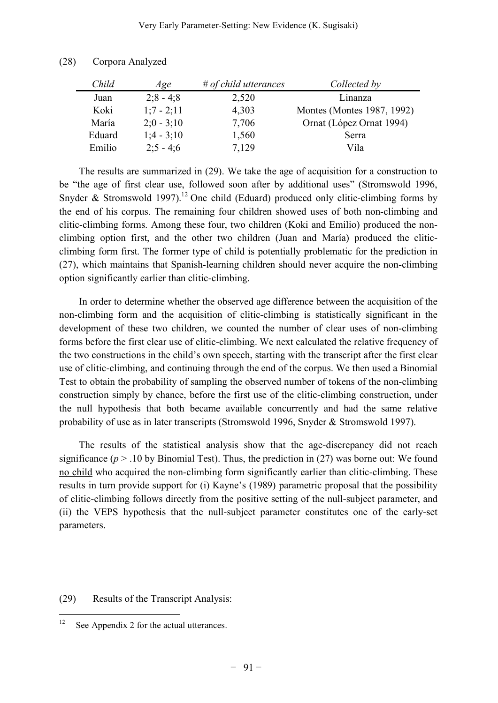| Child  | Age          | $#$ of child utterances | Collected by               |
|--------|--------------|-------------------------|----------------------------|
| Juan   | $2:8 - 4:8$  | 2,520                   | Linanza                    |
| Koki   | $1:7 - 2:11$ | 4,303                   | Montes (Montes 1987, 1992) |
| María  | $2:0 - 3:10$ | 7,706                   | Ornat (López Ornat 1994)   |
| Eduard | $1:4 - 3:10$ | 1,560                   | Serra                      |
| Emilio | $2:5 - 4:6$  | 7.129                   | Vila                       |

| (28) | Corpora Analyzed |  |
|------|------------------|--|
|      |                  |  |

The results are summarized in (29). We take the age of acquisition for a construction to be "the age of first clear use, followed soon after by additional uses" (Stromswold 1996, Snyder & Stromswold 1997).<sup>12</sup> One child (Eduard) produced only clitic-climbing forms by the end of his corpus. The remaining four children showed uses of both non-climbing and clitic-climbing forms. Among these four, two children (Koki and Emilio) produced the nonclimbing option first, and the other two children (Juan and María) produced the cliticclimbing form first. The former type of child is potentially problematic for the prediction in (27), which maintains that Spanish-learning children should never acquire the non-climbing option significantly earlier than clitic-climbing.

In order to determine whether the observed age difference between the acquisition of the non-climbing form and the acquisition of clitic-climbing is statistically significant in the development of these two children, we counted the number of clear uses of non-climbing forms before the first clear use of clitic-climbing. We next calculated the relative frequency of the two constructions in the child's own speech, starting with the transcript after the first clear use of clitic-climbing, and continuing through the end of the corpus. We then used a Binomial Test to obtain the probability of sampling the observed number of tokens of the non-climbing construction simply by chance, before the first use of the clitic-climbing construction, under the null hypothesis that both became available concurrently and had the same relative probability of use as in later transcripts (Stromswold 1996, Snyder & Stromswold 1997).

The results of the statistical analysis show that the age-discrepancy did not reach significance ( $p > 0.10$  by Binomial Test). Thus, the prediction in (27) was borne out: We found no child who acquired the non-climbing form significantly earlier than clitic-climbing. These results in turn provide support for (i) Kayne's (1989) parametric proposal that the possibility of clitic-climbing follows directly from the positive setting of the null-subject parameter, and (ii) the VEPS hypothesis that the null-subject parameter constitutes one of the early-set parameters.

(29) Results of the Transcript Analysis:

 $12$  See Appendix 2 for the actual utterances.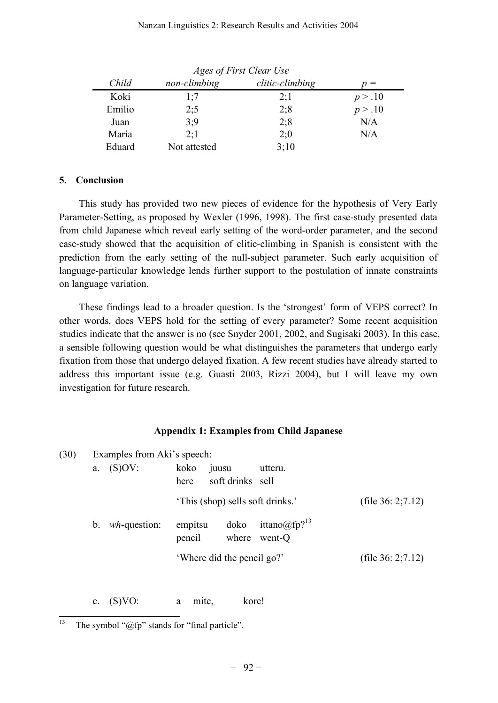#### Nanzan Linguistics 2: Research Results and Activities 2004

| Ages of First Clear Use |              |                 |         |  |  |  |
|-------------------------|--------------|-----------------|---------|--|--|--|
| Child                   | non-climbing | clitic-climbing | $=$     |  |  |  |
| Koki                    | 1:7          | 2:1             | p > .10 |  |  |  |
| Emilio                  | 2:5          | 2:8             | p > .10 |  |  |  |
| Juan                    | 3:9          | 2;8             | N/A     |  |  |  |
| María                   | 2:1          | 2:0             | N/A     |  |  |  |
| Eduard                  | Not attested | 3;10            |         |  |  |  |

## **5. Conclusion**

This study has provided two new pieces of evidence for the hypothesis of Very Early Parameter-Setting, as proposed by Wexler (1996, 1998). The first case-study presented data from child Japanese which reveal early setting of the word-order parameter, and the second case-study showed that the acquisition of clitic-climbing in Spanish is consistent with the prediction from the early setting of the null-subject parameter. Such early acquisition of language-particular knowledge lends further support to the postulation of innate constraints on language variation.

These findings lead to a broader question. Is the 'strongest' form of VEPS correct? In other words, does VEPS hold for the setting of every parameter? Some recent acquisition studies indicate that the answer is no (see Snyder 2001, 2002, and Sugisaki 2003). In this case, a sensible following question would be what distinguishes the parameters that undergo early fixation from those that undergo delayed fixation. A few recent studies have already started to address this important issue (e.g. Guasti 2003, Rizzi 2004), but I will leave my own investigation for future research.

#### **Appendix 1: Examples from Child Japanese**

| (30) |         | Examples from Aki's speech: |                   |                                  |                                          |  |                       |
|------|---------|-----------------------------|-------------------|----------------------------------|------------------------------------------|--|-----------------------|
|      | a.      | (S)OV:                      | koko<br>here      | juusu<br>soft drinks sell        | utteru.                                  |  |                       |
|      |         |                             |                   | 'This (shop) sells soft drinks.' |                                          |  | (file $36: 2; 7.12$ ) |
|      | $b_{-}$ | $wh$ -question:             | empitsu<br>pencil | doko                             | ittano@fp? <sup>13</sup><br>where went-Q |  |                       |
|      |         |                             |                   | 'Where did the pencil go?'       |                                          |  | (file $36: 2; 7.12$ ) |

c. (S)VO: a mite, kore!

<sup>&</sup>lt;sup>13</sup> The symbol " $@$ fp" stands for "final particle".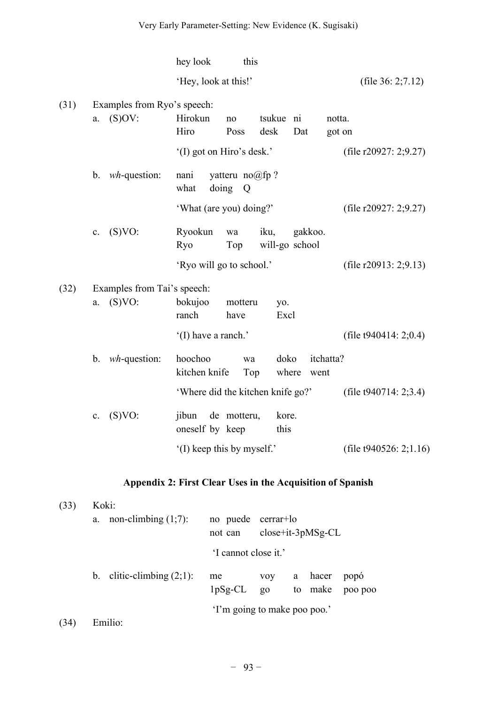|      |                                             | hey look<br>this                                                            |                           |
|------|---------------------------------------------|-----------------------------------------------------------------------------|---------------------------|
|      |                                             | 'Hey, look at this!'                                                        | (file $36: 2; 7.12$ )     |
| (31) | Examples from Ryo's speech:<br>(S)OV:<br>a. | Hirokun<br>tsukue ni<br>notta.<br>no<br>Hiro<br>Poss<br>desk<br>Dat         | got on                    |
|      |                                             | '(I) got on Hiro's desk.'                                                   | (file $r20927:2;9.27$ )   |
|      | $wh$ -question:<br>$\mathbf b$ .            | yatteru $no@fp$ ?<br>nani<br>doing<br>what<br>Q                             |                           |
|      |                                             | 'What (are you) doing?'                                                     | (file $r20927: 2;9.27$ )  |
|      | (S)VO:<br>$\mathbf{c}$ .                    | Ryookun<br>iku,<br>gakkoo.<br>wa<br><b>Ryo</b><br>Top<br>will-go school     |                           |
|      |                                             | 'Ryo will go to school.'                                                    | (file $r20913: 2;9.13$ )  |
| (32) | Examples from Tai's speech:<br>(S)VO:<br>a. | bokujoo<br>motteru<br>yo.<br>ranch<br>Excl<br>have                          |                           |
|      |                                             | '(I) have a ranch.'                                                         | (file $t940414:2;0.4$ )   |
|      | $wh$ -question:<br>$b$ .                    | doko<br>hoochoo<br>itchatta?<br>wa<br>kitchen knife<br>Top<br>where<br>went |                           |
|      |                                             | 'Where did the kitchen knife go?'                                           | (file $t940714:2;3.4$ )   |
|      | (S)VO:<br>$\mathbf{c}$ .                    | de motteru,<br>jibun<br>kore.<br>oneself by keep<br>this                    |                           |
|      |                                             | (I) keep this by myself.'                                                   | (file $t940526: 2;1.16$ ) |

# **Appendix 2: First Clear Uses in the Acquisition of Spanish**

| (33) | Koki:                        |                              |                                  |  |                    |                 |  |  |  |  |  |
|------|------------------------------|------------------------------|----------------------------------|--|--------------------|-----------------|--|--|--|--|--|
|      | non-climbing $(1,7)$ :<br>a. | no puede<br>not can          | cerrar+lo<br>$close+it-3pMSg-CL$ |  |                    |                 |  |  |  |  |  |
|      |                              |                              | 'I cannot close it.'             |  |                    |                 |  |  |  |  |  |
|      | b. clitic-climbing $(2,1)$ : | me<br>$1pSg-CL$ go           | <b>VOV</b>                       |  | a hacer<br>to make | popó<br>poo poo |  |  |  |  |  |
| (34  | Emilio:                      | 'I'm going to make poo poo.' |                                  |  |                    |                 |  |  |  |  |  |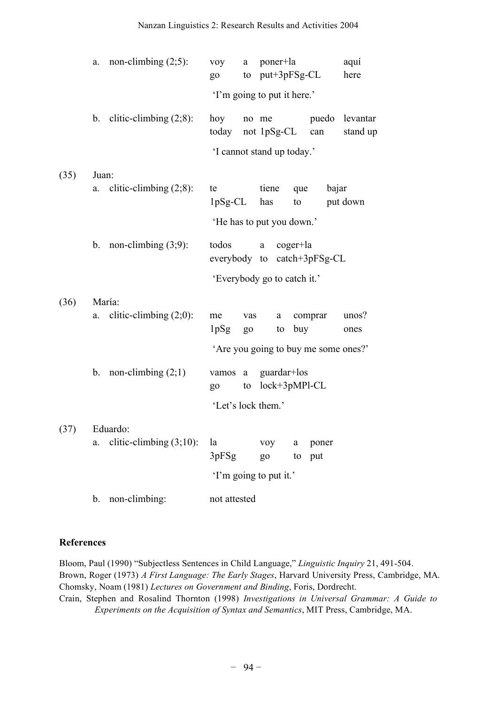|      | a.                          | non-climbing $(2,5)$ :       | <b>VOV</b><br>go                       |           | a poner+la<br>to put+3pFSg-CL    |            |                 | aquí<br>here                     |  |  |  |  |
|------|-----------------------------|------------------------------|----------------------------------------|-----------|----------------------------------|------------|-----------------|----------------------------------|--|--|--|--|
|      | 'I'm going to put it here.' |                              |                                        |           |                                  |            |                 |                                  |  |  |  |  |
|      |                             | b. clitic-climbing $(2,8)$ : | hoy<br>today                           |           | not 1pSg-CL can                  |            |                 | no me puedo levantar<br>stand up |  |  |  |  |
|      |                             |                              | 'I cannot stand up today.'             |           |                                  |            |                 |                                  |  |  |  |  |
| (35) | Juan:                       |                              |                                        |           |                                  |            |                 |                                  |  |  |  |  |
|      | a.                          | clitic-climbing $(2,8)$ :    | te                                     |           | tiene<br>$1pSg-CL$ has           | que<br>to  | bajar           | put down                         |  |  |  |  |
|      |                             |                              | 'He has to put you down.'              |           |                                  |            |                 |                                  |  |  |  |  |
|      |                             | b. non-climbing $(3,9)$ :    | todos                                  |           | a<br>everybody to catch+3pFSg-CL | $coger+la$ |                 |                                  |  |  |  |  |
|      |                             |                              | 'Everybody go to catch it.'            |           |                                  |            |                 |                                  |  |  |  |  |
| (36) |                             | María:                       |                                        |           |                                  |            |                 |                                  |  |  |  |  |
|      | a.                          | clitic-climbing $(2,0)$ :    | me<br>1pSg                             | <b>go</b> | a<br>vas                         | to buy     | comprar         | unos?<br>ones                    |  |  |  |  |
|      |                             |                              | 'Are you going to buy me some ones?'   |           |                                  |            |                 |                                  |  |  |  |  |
|      |                             | b. non-climbing $(2,1)$      | vamos a guardar+los<br><b>go</b><br>to |           | lock+3pMPl-CL                    |            |                 |                                  |  |  |  |  |
|      |                             |                              | 'Let's lock them.'                     |           |                                  |            |                 |                                  |  |  |  |  |
| (37) |                             | Eduardo:                     |                                        |           |                                  |            |                 |                                  |  |  |  |  |
|      | a.                          | clitic-climbing $(3;10)$ :   | la<br>3pFSg                            |           | <b>VOV</b><br><b>go</b>          | a          | poner<br>to put |                                  |  |  |  |  |
|      |                             |                              | 'I'm going to put it.'                 |           |                                  |            |                 |                                  |  |  |  |  |
|      | b.                          | non-climbing:                | not attested                           |           |                                  |            |                 |                                  |  |  |  |  |

#### **References**

Bloom, Paul (1990) "Subjectless Sentences in Child Language," *Linguistic Inquiry* 21, 491-504. Brown, Roger (1973) *A First Language: The Early Stages*, Harvard University Press, Cambridge, MA. Chomsky, Noam (1981) *Lectures on Government and Binding*, Foris, Dordrecht. Crain, Stephen and Rosalind Thornton (1998) *Investigations in Universal Grammar: A Guide to Experiments on the Acquisition of Syntax and Semantics*, MIT Press, Cambridge, MA.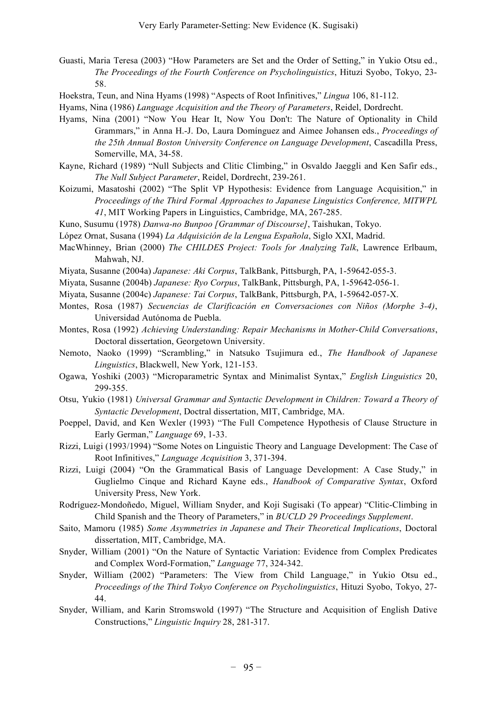- Guasti, Maria Teresa (2003) "How Parameters are Set and the Order of Setting," in Yukio Otsu ed., *The Proceedings of the Fourth Conference on Psycholinguistics*, Hituzi Syobo, Tokyo, 23- 58.
- Hoekstra, Teun, and Nina Hyams (1998) "Aspects of Root Infinitives," *Lingua* 106, 81-112.
- Hyams, Nina (1986) *Language Acquisition and the Theory of Parameters*, Reidel, Dordrecht.
- Hyams, Nina (2001) "Now You Hear It, Now You Don't: The Nature of Optionality in Child Grammars," in Anna H.-J. Do, Laura Domínguez and Aimee Johansen eds., *Proceedings of the 25th Annual Boston University Conference on Language Development*, Cascadilla Press, Somerville, MA, 34-58.
- Kayne, Richard (1989) "Null Subjects and Clitic Climbing," in Osvaldo Jaeggli and Ken Safir eds., *The Null Subject Parameter*, Reidel, Dordrecht, 239-261.
- Koizumi, Masatoshi (2002) "The Split VP Hypothesis: Evidence from Language Acquisition," in *Proceedings of the Third Formal Approaches to Japanese Linguistics Conference, MITWPL 41*, MIT Working Papers in Linguistics, Cambridge, MA, 267-285.
- Kuno, Susumu (1978) *Danwa-no Bunpoo [Grammar of Discourse]*, Taishukan, Tokyo.
- López Ornat, Susana (1994) *La Adquisición de la Lengua Española*, Siglo XXI, Madrid.
- MacWhinney, Brian (2000) *The CHILDES Project: Tools for Analyzing Talk*, Lawrence Erlbaum, Mahwah, NJ.
- Miyata, Susanne (2004a) *Japanese: Aki Corpus*, TalkBank, Pittsburgh, PA, 1-59642-055-3.
- Miyata, Susanne (2004b) *Japanese: Ryo Corpus*, TalkBank, Pittsburgh, PA, 1-59642-056-1.
- Miyata, Susanne (2004c) *Japanese: Tai Corpus*, TalkBank, Pittsburgh, PA, 1-59642-057-X.
- Montes, Rosa (1987) *Secuencias de Clarificación en Conversaciones con Niños (Morphe 3-4)*, Universidad Autónoma de Puebla.
- Montes, Rosa (1992) *Achieving Understanding: Repair Mechanisms in Mother-Child Conversations*, Doctoral dissertation, Georgetown University.
- Nemoto, Naoko (1999) "Scrambling," in Natsuko Tsujimura ed., *The Handbook of Japanese Linguistics*, Blackwell, New York, 121-153.
- Ogawa, Yoshiki (2003) "Microparametric Syntax and Minimalist Syntax," *English Linguistics* 20, 299-355.
- Otsu, Yukio (1981) *Universal Grammar and Syntactic Development in Children: Toward a Theory of Syntactic Development*, Doctral dissertation, MIT, Cambridge, MA.
- Poeppel, David, and Ken Wexler (1993) "The Full Competence Hypothesis of Clause Structure in Early German," *Language* 69, 1-33.
- Rizzi, Luigi (1993/1994) "Some Notes on Linguistic Theory and Language Development: The Case of Root Infinitives," *Language Acquisition* 3, 371-394.
- Rizzi, Luigi (2004) "On the Grammatical Basis of Language Development: A Case Study," in Guglielmo Cinque and Richard Kayne eds., *Handbook of Comparative Syntax*, Oxford University Press, New York.
- Rodríguez-Mondoñedo, Miguel, William Snyder, and Koji Sugisaki (To appear) "Clitic-Climbing in Child Spanish and the Theory of Parameters," in *BUCLD 29 Proceedings Supplement*.
- Saito, Mamoru (1985) *Some Asymmetries in Japanese and Their Theoretical Implications*, Doctoral dissertation, MIT, Cambridge, MA.
- Snyder, William (2001) "On the Nature of Syntactic Variation: Evidence from Complex Predicates and Complex Word-Formation," *Language* 77, 324-342.
- Snyder, William (2002) "Parameters: The View from Child Language," in Yukio Otsu ed., *Proceedings of the Third Tokyo Conference on Psycholinguistics*, Hituzi Syobo, Tokyo, 27- 44.
- Snyder, William, and Karin Stromswold (1997) "The Structure and Acquisition of English Dative Constructions," *Linguistic Inquiry* 28, 281-317.